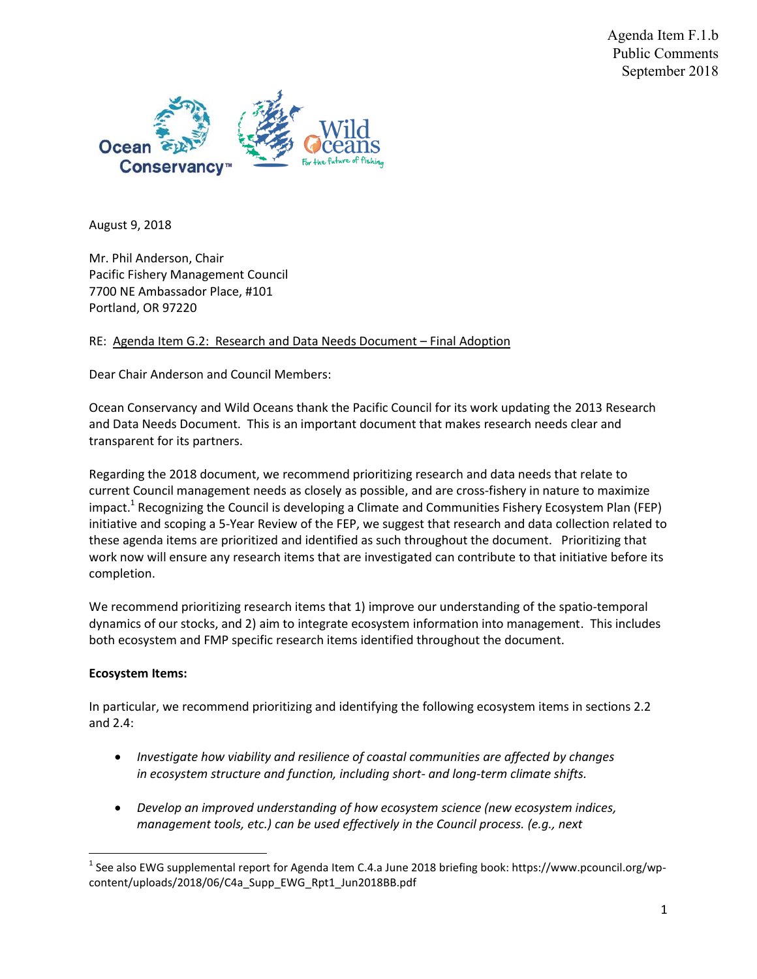Agenda Item F.1.b Public Comments September 2018



August 9, 2018

Mr. Phil Anderson, Chair Pacific Fishery Management Council 7700 NE Ambassador Place, #101 Portland, OR 97220

RE: Agenda Item G.2: Research and Data Needs Document – Final Adoption

Dear Chair Anderson and Council Members:

Ocean Conservancy and Wild Oceans thank the Pacific Council for its work updating the 2013 Research and Data Needs Document. This is an important document that makes research needs clear and transparent for its partners.

Regarding the 2018 document, we recommend prioritizing research and data needs that relate to current Council management needs as closely as possible, and are cross-fishery in nature to maximize impact.<sup>1</sup> Recognizing the Council is developing a Climate and Communities Fishery Ecosystem Plan (FEP) initiative and scoping a 5-Year Review of the FEP, we suggest that research and data collection related to these agenda items are prioritized and identified as such throughout the document. Prioritizing that work now will ensure any research items that are investigated can contribute to that initiative before its completion.

We recommend prioritizing research items that 1) improve our understanding of the spatio-temporal dynamics of our stocks, and 2) aim to integrate ecosystem information into management. This includes both ecosystem and FMP specific research items identified throughout the document.

## **Ecosystem Items:**

In particular, we recommend prioritizing and identifying the following ecosystem items in sections 2.2 and 2.4:

- *Investigate how viability and resilience of coastal communities are affected by changes in ecosystem structure and function, including short- and long-term climate shifts.*
- *Develop an improved understanding of how ecosystem science (new ecosystem indices, management tools, etc.) can be used effectively in the Council process. (e.g., next*

<sup>&</sup>lt;sup>1</sup> See also EWG supplemental report for Agenda Item C.4.a June 2018 briefing book: https://www.pcouncil.org/wpcontent/uploads/2018/06/C4a\_Supp\_EWG\_Rpt1\_Jun2018BB.pdf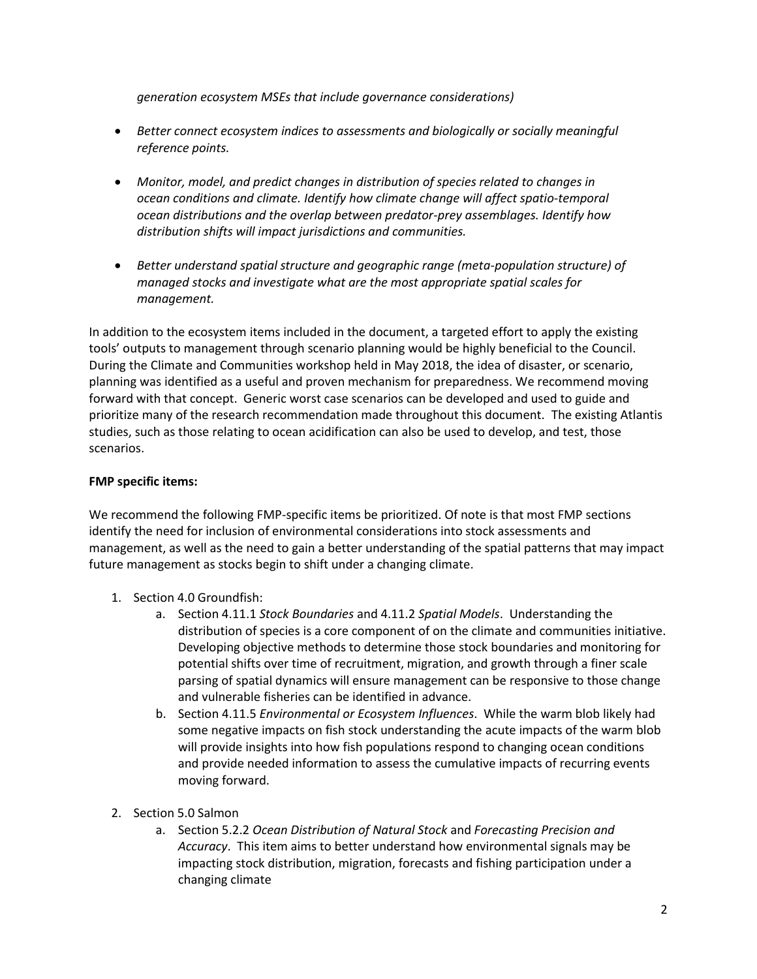*generation ecosystem MSEs that include governance considerations)*

- *Better connect ecosystem indices to assessments and biologically or socially meaningful reference points.*
- *Monitor, model, and predict changes in distribution of species related to changes in ocean conditions and climate. Identify how climate change will affect spatio-temporal ocean distributions and the overlap between predator-prey assemblages. Identify how distribution shifts will impact jurisdictions and communities.*
- *Better understand spatial structure and geographic range (meta-population structure) of managed stocks and investigate what are the most appropriate spatial scales for management.*

In addition to the ecosystem items included in the document, a targeted effort to apply the existing tools' outputs to management through scenario planning would be highly beneficial to the Council. During the Climate and Communities workshop held in May 2018, the idea of disaster, or scenario, planning was identified as a useful and proven mechanism for preparedness. We recommend moving forward with that concept. Generic worst case scenarios can be developed and used to guide and prioritize many of the research recommendation made throughout this document. The existing Atlantis studies, such as those relating to ocean acidification can also be used to develop, and test, those scenarios.

## **FMP specific items:**

We recommend the following FMP-specific items be prioritized. Of note is that most FMP sections identify the need for inclusion of environmental considerations into stock assessments and management, as well as the need to gain a better understanding of the spatial patterns that may impact future management as stocks begin to shift under a changing climate.

- 1. Section 4.0 Groundfish:
	- a. Section 4.11.1 *Stock Boundaries* and 4.11.2 *Spatial Models*. Understanding the distribution of species is a core component of on the climate and communities initiative. Developing objective methods to determine those stock boundaries and monitoring for potential shifts over time of recruitment, migration, and growth through a finer scale parsing of spatial dynamics will ensure management can be responsive to those change and vulnerable fisheries can be identified in advance.
	- b. Section 4.11.5 *Environmental or Ecosystem Influences*. While the warm blob likely had some negative impacts on fish stock understanding the acute impacts of the warm blob will provide insights into how fish populations respond to changing ocean conditions and provide needed information to assess the cumulative impacts of recurring events moving forward.
- 2. Section 5.0 Salmon
	- a. Section 5.2.2 *Ocean Distribution of Natural Stock* and *Forecasting Precision and Accuracy*. This item aims to better understand how environmental signals may be impacting stock distribution, migration, forecasts and fishing participation under a changing climate